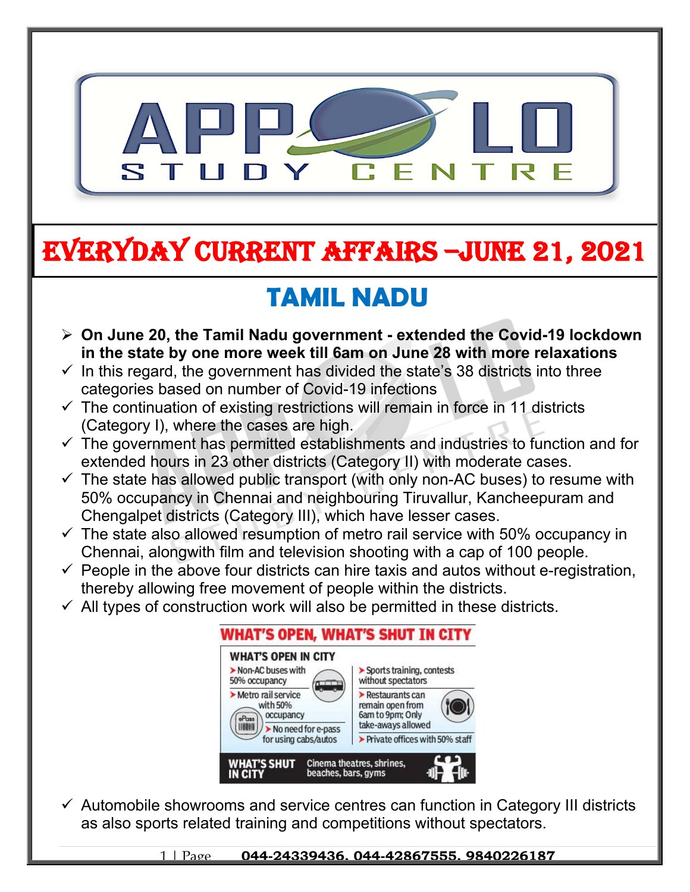

# **EVERYDAY CURRENT AFFAIRS –jUNE 21, 2021**

## **TAMIL NADU**

- **On June 20, the Tamil Nadu government extended the Covid-19 lockdown in the state by one more week till 6am on June 28 with more relaxations**
- $\checkmark$  In this regard, the government has divided the state's 38 districts into three categories based on number of Covid-19 infections
- $\checkmark$  The continuation of existing restrictions will remain in force in 11 districts (Category I), where the cases are high.

**-**

- $\checkmark$  The government has permitted establishments and industries to function and for extended hours in 23 other districts (Category II) with moderate cases.
- $\checkmark$  The state has allowed public transport (with only non-AC buses) to resume with 50% occupancy in Chennai and neighbouring Tiruvallur, Kancheepuram and Chengalpet districts (Category III), which have lesser cases.
- $\checkmark$  The state also allowed resumption of metro rail service with 50% occupancy in Chennai, alongwith film and television shooting with a cap of 100 people.
- $\checkmark$  People in the above four districts can hire taxis and autos without e-registration, thereby allowing free movement of people within the districts.
- $\checkmark$  All types of construction work will also be permitted in these districts.



 $\checkmark$  Automobile showrooms and service centres can function in Category III districts as also sports related training and competitions without spectators.

1 | Page **044-24339436, 044-42867555, 9840226187**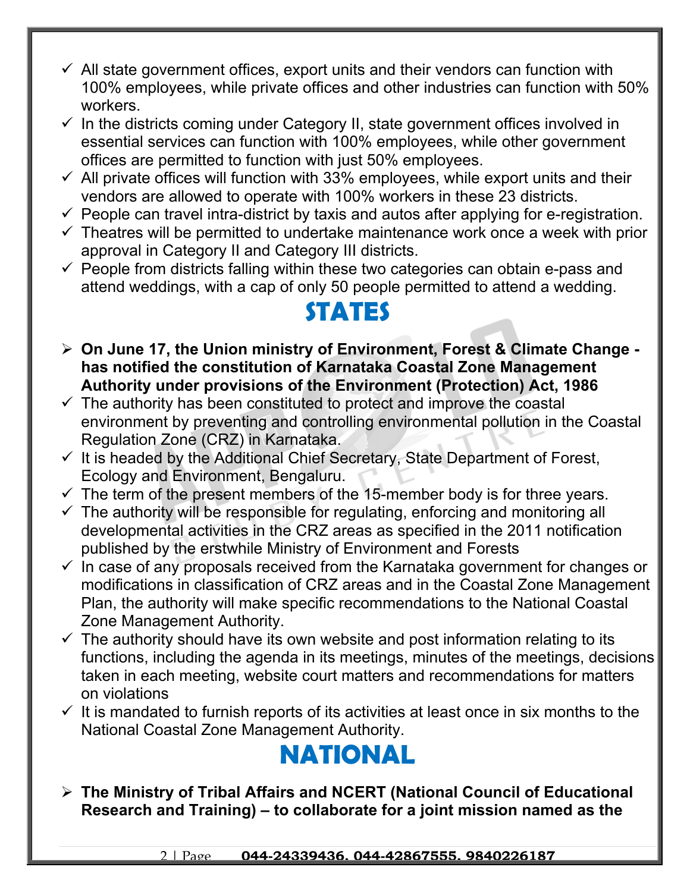- $\checkmark$  All state government offices, export units and their vendors can function with 100% employees, while private offices and other industries can function with 50% workers.
- $\checkmark$  In the districts coming under Category II, state government offices involved in essential services can function with 100% employees, while other government offices are permitted to function with just 50% employees.
- $\checkmark$  All private offices will function with 33% employees, while export units and their vendors are allowed to operate with 100% workers in these 23 districts.
- $\checkmark$  People can travel intra-district by taxis and autos after applying for e-registration.
- $\checkmark$  Theatres will be permitted to undertake maintenance work once a week with prior approval in Category II and Category III districts.
- $\checkmark$  People from districts falling within these two categories can obtain e-pass and attend weddings, with a cap of only 50 people permitted to attend a wedding.

#### **STATES**

- **On June 17, the Union ministry of Environment, Forest & Climate Change has notified the constitution of Karnataka Coastal Zone Management Authority under provisions of the Environment (Protection) Act, 1986**
- $\checkmark$  The authority has been constituted to protect and improve the coastal environment by preventing and controlling environmental pollution in the Coastal Regulation Zone (CRZ) in Karnataka.
- $\checkmark$  It is headed by the Additional Chief Secretary, State Department of Forest, Ecology and Environment, Bengaluru.
- $\checkmark$  The term of the present members of the 15-member body is for three years.
- $\checkmark$  The authority will be responsible for regulating, enforcing and monitoring all developmental activities in the CRZ areas as specified in the 2011 notification published by the erstwhile Ministry of Environment and Forests
- $\checkmark$  In case of any proposals received from the Karnataka government for changes or modifications in classification of CRZ areas and in the Coastal Zone Management Plan, the authority will make specific recommendations to the National Coastal Zone Management Authority.
- $\checkmark$  The authority should have its own website and post information relating to its functions, including the agenda in its meetings, minutes of the meetings, decisions taken in each meeting, website court matters and recommendations for matters on violations
- $\checkmark$  It is mandated to furnish reports of its activities at least once in six months to the National Coastal Zone Management Authority.

### **NATIONAL**

 **The Ministry of Tribal Affairs and NCERT (National Council of Educational Research and Training) – to collaborate for a joint mission named as the**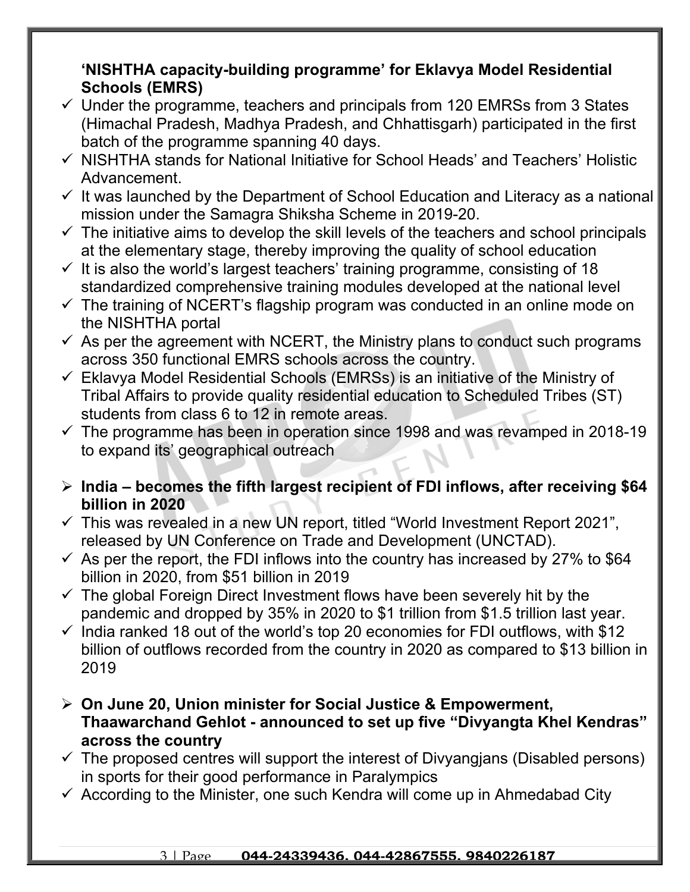#### **'NISHTHA capacity-building programme' for Eklavya Model Residential Schools (EMRS)**

- $\checkmark$  Under the programme, teachers and principals from 120 EMRSs from 3 States (Himachal Pradesh, Madhya Pradesh, and Chhattisgarh) participated in the first batch of the programme spanning 40 days.
- $\checkmark$  NISHTHA stands for National Initiative for School Heads' and Teachers' Holistic Advancement.
- $\checkmark$  It was launched by the Department of School Education and Literacy as a national mission under the Samagra Shiksha Scheme in 2019-20.
- $\checkmark$  The initiative aims to develop the skill levels of the teachers and school principals at the elementary stage, thereby improving the quality of school education
- $\checkmark$  It is also the world's largest teachers' training programme, consisting of 18 standardized comprehensive training modules developed at the national level
- $\checkmark$  The training of NCERT's flagship program was conducted in an online mode on the NISHTHA portal
- $\checkmark$  As per the agreement with NCERT, the Ministry plans to conduct such programs across 350 functional EMRS schools across the country.
- $\checkmark$  Eklavya Model Residential Schools (EMRSs) is an initiative of the Ministry of Tribal Affairs to provide quality residential education to Scheduled Tribes (ST) students from class 6 to 12 in remote areas.
- $\checkmark$  The programme has been in operation since 1998 and was revamped in 2018-19 to expand its' geographical outreach
- **India becomes the fifth largest recipient of FDI inflows, after receiving \$64 billion in 2020**
- $\checkmark$  This was revealed in a new UN report, titled "World Investment Report 2021", released by UN Conference on Trade and Development (UNCTAD).
- $\checkmark$  As per the report, the FDI inflows into the country has increased by 27% to \$64 billion in 2020, from \$51 billion in 2019
- $\checkmark$  The global Foreign Direct Investment flows have been severely hit by the pandemic and dropped by 35% in 2020 to \$1 trillion from \$1.5 trillion last year.
- $\checkmark$  India ranked 18 out of the world's top 20 economies for FDI outflows, with \$12 billion of outflows recorded from the country in 2020 as compared to \$13 billion in 2019
- **On June 20, Union minister for Social Justice & Empowerment, Thaawarchand Gehlot - announced to set up five "Divyangta Khel Kendras" across the country**
- $\checkmark$  The proposed centres will support the interest of Divyangians (Disabled persons) in sports for their good performance in Paralympics
- $\checkmark$  According to the Minister, one such Kendra will come up in Ahmedabad City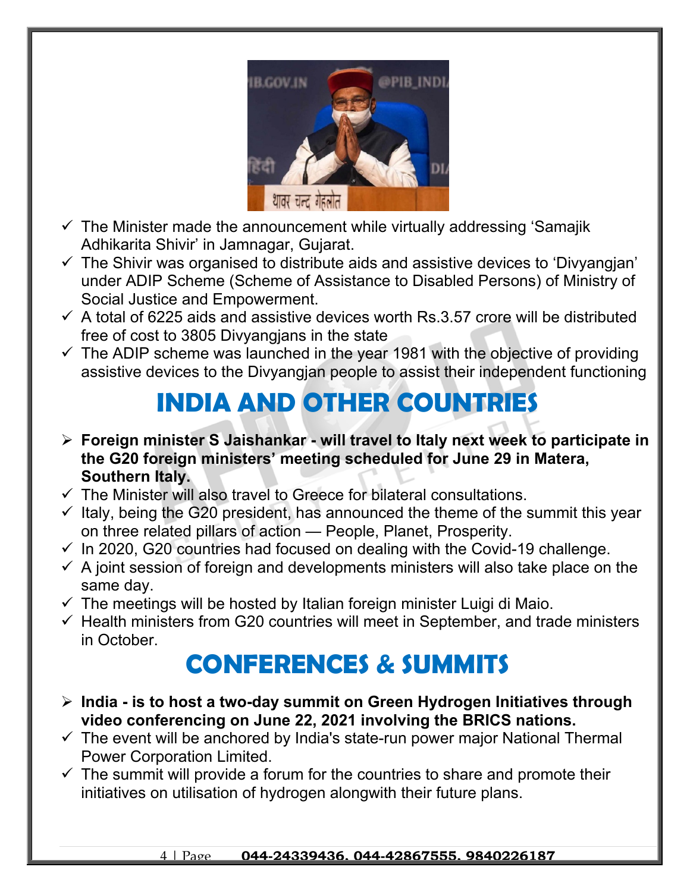

- $\checkmark$  The Minister made the announcement while virtually addressing 'Samajik Adhikarita Shivir' in Jamnagar, Gujarat.
- $\checkmark$  The Shivir was organised to distribute aids and assistive devices to 'Divyangian' under ADIP Scheme (Scheme of Assistance to Disabled Persons) of Ministry of Social Justice and Empowerment.
- $\checkmark$  A total of 6225 aids and assistive devices worth Rs.3.57 crore will be distributed free of cost to 3805 Divyangjans in the state
- $\checkmark$  The ADIP scheme was launched in the year 1981 with the objective of providing assistive devices to the Divyangjan people to assist their independent functioning

## **INDIA AND OTHER COUNTRIES**

- **Foreign minister S Jaishankar will travel to Italy next week to participate in the G20 foreign ministers' meeting scheduled for June 29 in Matera, Southern Italy.**
- $\checkmark$  The Minister will also travel to Greece for bilateral consultations.
- $\checkmark$  Italy, being the G20 president, has announced the theme of the summit this year on three related pillars of action — People, Planet, Prosperity.
- $\checkmark$  In 2020, G20 countries had focused on dealing with the Covid-19 challenge.
- $\checkmark$  A joint session of foreign and developments ministers will also take place on the same day.
- $\checkmark$  The meetings will be hosted by Italian foreign minister Luigi di Maio.
- $\checkmark$  Health ministers from G20 countries will meet in September, and trade ministers in October.

### **CONFERENCES & SUMMITS**

- **India is to host a two-day summit on Green Hydrogen Initiatives through video conferencing on June 22, 2021 involving the BRICS nations.**
- $\checkmark$  The event will be anchored by India's state-run power major National Thermal Power Corporation Limited.
- $\checkmark$  The summit will provide a forum for the countries to share and promote their initiatives on utilisation of hydrogen alongwith their future plans.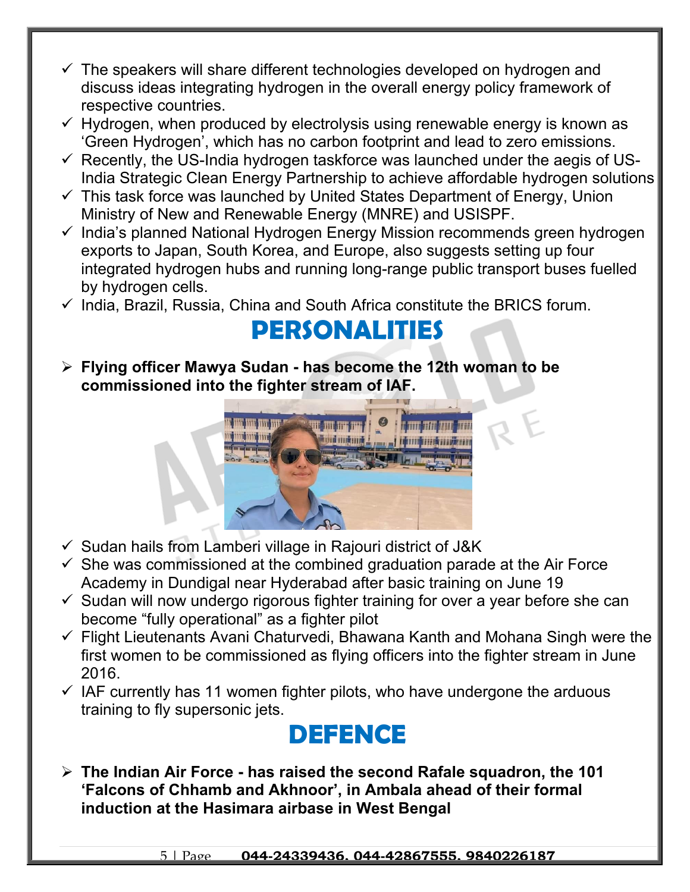- $\checkmark$  The speakers will share different technologies developed on hydrogen and discuss ideas integrating hydrogen in the overall energy policy framework of respective countries.
- $\checkmark$  Hydrogen, when produced by electrolysis using renewable energy is known as 'Green Hydrogen', which has no carbon footprint and lead to zero emissions.
- $\checkmark$  Recently, the US-India hydrogen taskforce was launched under the aegis of US-India Strategic Clean Energy Partnership to achieve affordable hydrogen solutions
- $\checkmark$  This task force was launched by United States Department of Energy, Union Ministry of New and Renewable Energy (MNRE) and USISPF.
- $\checkmark$  India's planned National Hydrogen Energy Mission recommends green hydrogen exports to Japan, South Korea, and Europe, also suggests setting up four integrated hydrogen hubs and running long-range public transport buses fuelled by hydrogen cells.
- $\checkmark$  India, Brazil, Russia, China and South Africa constitute the BRICS forum.

#### **PERSONALITIES**

 **Flying officer Mawya Sudan - has become the 12th woman to be commissioned into the fighter stream of IAF.**



- $\checkmark$  Sudan hails from Lamberi village in Rajouri district of J&K
- $\checkmark$  She was commissioned at the combined graduation parade at the Air Force Academy in Dundigal near Hyderabad after basic training on June 19
- $\checkmark$  Sudan will now undergo rigorous fighter training for over a year before she can become "fully operational" as a fighter pilot
- $\checkmark$  Flight Lieutenants Avani Chaturvedi, Bhawana Kanth and Mohana Singh were the first women to be commissioned as flying officers into the fighter stream in June 2016.
- $\checkmark$  IAF currently has 11 women fighter pilots, who have undergone the arduous training to fly supersonic jets.

#### **DEFENCE**

 **The Indian Air Force - has raised the second Rafale squadron, the 101 'Falcons of Chhamb and Akhnoor', in Ambala ahead of their formal induction at the Hasimara airbase in West Bengal**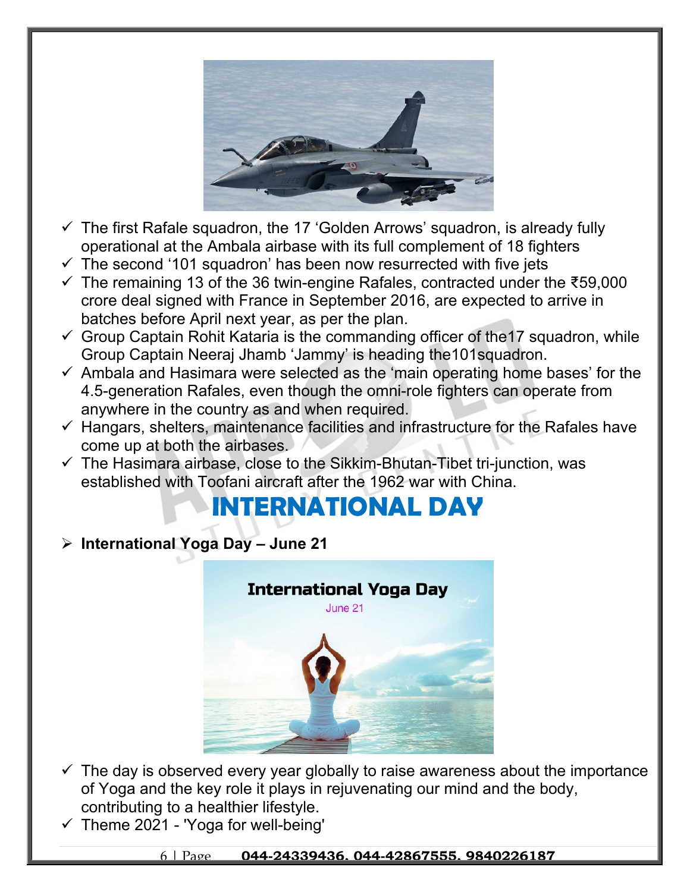

- $\checkmark$  The first Rafale squadron, the 17 'Golden Arrows' squadron, is already fully operational at the Ambala airbase with its full complement of 18 fighters
- $\checkmark$  The second '101 squadron' has been now resurrected with five jets
- The remaining 13 of the 36 twin-engine Rafales, contracted under the ₹59,000 crore deal signed with France in September 2016, are expected to arrive in batches before April next year, as per the plan.
- $\checkmark$  Group Captain Rohit Kataria is the commanding officer of the 17 squadron, while Group Captain Neeraj Jhamb 'Jammy' is heading the101squadron.
- $\checkmark$  Ambala and Hasimara were selected as the 'main operating home bases' for the 4.5-generation Rafales, even though the omni-role fighters can operate from anywhere in the country as and when required.
- $\checkmark$  Hangars, shelters, maintenance facilities and infrastructure for the Rafales have come up at both the airbases.
- $\checkmark$  The Hasimara airbase, close to the Sikkim-Bhutan-Tibet tri-junction, was established with Toofani aircraft after the 1962 war with China.

### **INTERNATIONAL DAY**

**International Yoga Day – June 21**



- $\checkmark$  The day is observed every year globally to raise awareness about the importance of Yoga and the key role it plays in rejuvenating our mind and the body, contributing to a healthier lifestyle.
- $\checkmark$  Theme 2021 'Yoga for well-being'

6 | Page **044-24339436, 044-42867555, 9840226187**